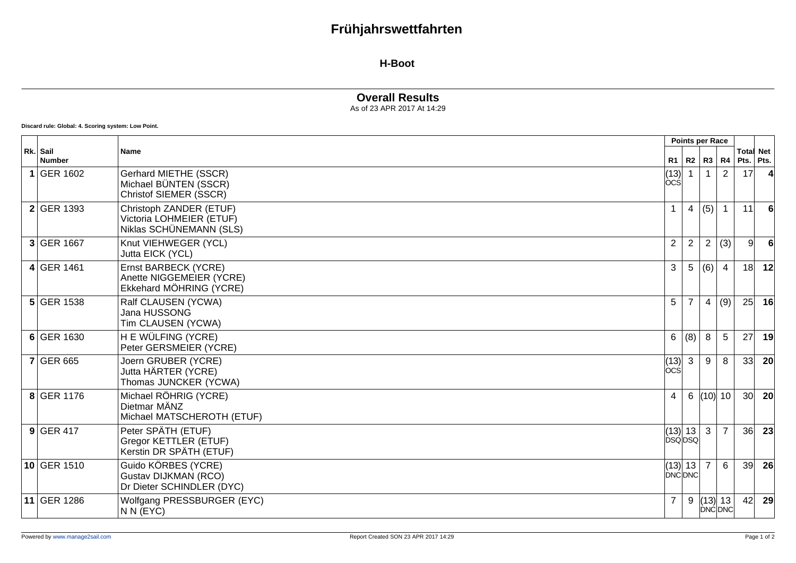# **Frühjahrswettfahrten**

#### **H-Boot**

### **Overall Results**

As of 23 APR 2017 At 14:29

**Discard rule: Global: 4. Scoring system: Low Point.**

|                    |                                                                                |                                    |                | Points per Race |                |                               |                 |
|--------------------|--------------------------------------------------------------------------------|------------------------------------|----------------|-----------------|----------------|-------------------------------|-----------------|
| Rk. Sail<br>Number | <b>Name</b>                                                                    |                                    | $R1$ $R2$      | R3              | R4             | <b>Total Net</b><br>Pts. Pts. |                 |
| 1 GER 1602         | Gerhard MIETHE (SSCR)<br>Michael BÜNTEN (SSCR)<br>Christof SIEMER (SSCR)       | (13) 1<br>lòcśl                    |                |                 | $\overline{2}$ | 17                            |                 |
| 2 GER 1393         | Christoph ZANDER (ETUF)<br>Victoria LOHMEIER (ETUF)<br>Niklas SCHÜNEMANN (SLS) |                                    | 4              | (5)             |                | 11                            |                 |
| 3 GER 1667         | Knut VIEHWEGER (YCL)<br>Jutta EICK (YCL)                                       | $\overline{2}$                     | $\overline{2}$ | $\overline{2}$  | (3)            | 9 <sup>1</sup>                |                 |
| 4 GER 1461         | Ernst BARBECK (YCRE)<br>Anette NIGGEMEIER (YCRE)<br>Ekkehard MÖHRING (YCRE)    | 3                                  | 5              | (6)             | $\overline{4}$ | 18                            | 12              |
| $5$ GER 1538       | Ralf CLAUSEN (YCWA)<br>Jana HUSSONG<br>Tim CLAUSEN (YCWA)                      | 5                                  | $\overline{7}$ | $\overline{4}$  | (9)            | 25                            | 16              |
| 6 GER 1630         | H E WÜLFING (YCRE)<br>Peter GERSMEIER (YCRE)                                   | 6                                  | (8)            | 8               | 5              | 27                            | 19              |
| $7$ GER 665        | Joern GRUBER (YCRE)<br>Jutta HÄRTER (YCRE)<br>Thomas JUNCKER (YCWA)            | $(13)$ 3<br> ÒCŚ                   |                | 9               | 8              | 33                            | -20             |
| 8 GER 1176         | Michael RÖHRIG (YCRE)<br>Dietmar MÄNZ<br>Michael MATSCHEROTH (ETUF)            | $\overline{4}$                     | 6              |                 | (10) 10        | 30 <sup>l</sup>               | 20 <sup>1</sup> |
| $9$ GER 417        | Peter SPÄTH (ETUF)<br>Gregor KETTLER (ETUF)<br>Kerstin DR SPÄTH (ETUF)         | (13) 13<br><b>DSQDSQ</b>           |                | $\mathbf{3}$    | $\overline{7}$ | 36                            | 23              |
| 10 GER 1510        | Guido KÖRBES (YCRE)<br>Gustav DIJKMAN (RCO)<br>Dr Dieter SCHINDLER (DYC)       | $\ $ (13) $\ $ 13<br><b>DNCDNC</b> |                | $\overline{7}$  | 6              | 39                            | 26              |
| 11 GER 1286        | Wolfgang PRESSBURGER (EYC)<br>N N (EYC)                                        | $\overline{7}$                     | 9              | $(13)$ 13       | <b>DNC DNC</b> | 42                            | 29              |